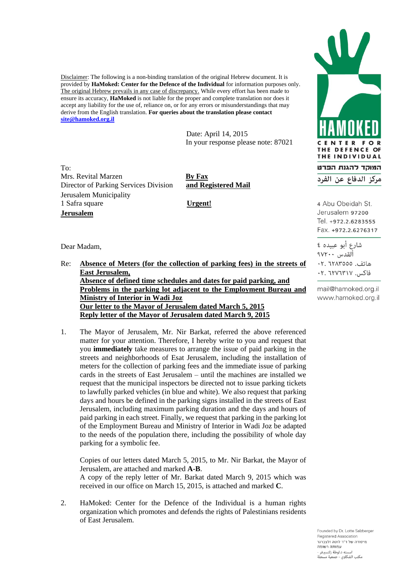Disclaimer: The following is a non-binding translation of the original Hebrew document. It is provided by **HaMoked: Center for the Defence of the Individual** for information purposes only. The original Hebrew prevails in any case of discrepancy. While every effort has been made to ensure its accuracy, **HaMoked** is not liable for the proper and complete translation nor does it accept any liability for the use of, reliance on, or for any errors or misunderstandings that may derive from the English translation. **For queries about the translation please contact [site@hamoked.org.il](mailto:site@hamoked.org.il)**

> Date: April 14, 2015 In your response please note: 87021

 $To^{\perp}$ Mrs. Revital Marzen **By Fax** Director of Parking Services Division **and Registered Mail** Jerusalem Municipality 1 Safra square **Urgent! Jerusalem**

Dear Madam,

Re: **Absence of Meters (for the collection of parking fees) in the streets of East Jerusalem, Absence of defined time schedules and dates for paid parking, and Problems in the parking lot adjacent to the Employment Bureau and Ministry of Interior in Wadi Joz Our letter to the Mayor of Jerusalem dated March 5, 2015 Reply letter of the Mayor of Jerusalem dated March 9, 2015**

1. The Mayor of Jerusalem, Mr. Nir Barkat, referred the above referenced matter for your attention. Therefore, I hereby write to you and request that you **immediately** take measures to arrange the issue of paid parking in the streets and neighborhoods of Esat Jerusalem, including the installation of meters for the collection of parking fees and the immediate issue of parking cards in the streets of East Jerusalem – until the machines are installed we request that the municipal inspectors be directed not to issue parking tickets to lawfully parked vehicles (in blue and white). We also request that parking days and hours be defined in the parking signs installed in the streets of East Jerusalem, including maximum parking duration and the days and hours of paid parking in each street. Finally, we request that parking in the parking lot of the Employment Bureau and Ministry of Interior in Wadi Joz be adapted to the needs of the population there, including the possibility of whole day parking for a symbolic fee.

Copies of our letters dated March 5, 2015, to Mr. Nir Barkat, the Mayor of Jerusalem, are attached and marked **A-B**. A copy of the reply letter of Mr. Barkat dated March 9, 2015 which was received in our office on March 15, 2015, is attached and marked **C**.

2. HaMoked: Center for the Defence of the Individual is a human rights organization which promotes and defends the rights of Palestinians residents of East Jerusalem.



4 Abu Obeidah St. Jerusalem 97200 Tel. +972.2.6283555 Fax. +972.2.6276317

شارع أبو عبيده ٤ ألقدس ٢٠٠٧٩ هاتف. ٦٢٨٣٥٥٥: ٠٢ فاكس. ٢٠٧٦٣١٧. ٢٠

mail@hamoked.org.il www.hamoked.org.il

Founded by Dr. Lotte Salzberger Registered Association מיסודה של ד"ר לוטה זלצברגר עמותה רשומה لته د.لوطة زلتسبرغر مكتب الشكاوي - جمعية مسحلة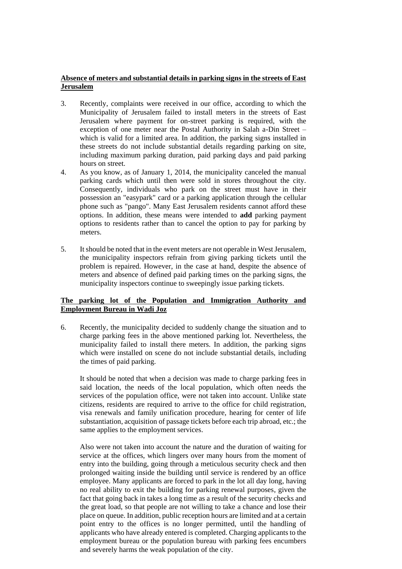## **Absence of meters and substantial details in parking signs in the streets of East Jerusalem**

- 3. Recently, complaints were received in our office, according to which the Municipality of Jerusalem failed to install meters in the streets of East Jerusalem where payment for on-street parking is required, with the exception of one meter near the Postal Authority in Salah a-Din Street – which is valid for a limited area. In addition, the parking signs installed in these streets do not include substantial details regarding parking on site, including maximum parking duration, paid parking days and paid parking hours on street.
- 4. As you know, as of January 1, 2014, the municipality canceled the manual parking cards which until then were sold in stores throughout the city. Consequently, individuals who park on the street must have in their possession an "easypark" card or a parking application through the cellular phone such as "pango". Many East Jerusalem residents cannot afford these options. In addition, these means were intended to **add** parking payment options to residents rather than to cancel the option to pay for parking by meters.
- 5. It should be noted that in the event meters are not operable in West Jerusalem, the municipality inspectors refrain from giving parking tickets until the problem is repaired. However, in the case at hand, despite the absence of meters and absence of defined paid parking times on the parking signs, the municipality inspectors continue to sweepingly issue parking tickets.

## **The parking lot of the Population and Immigration Authority and Employment Bureau in Wadi Joz**

6. Recently, the municipality decided to suddenly change the situation and to charge parking fees in the above mentioned parking lot. Nevertheless, the municipality failed to install there meters. In addition, the parking signs which were installed on scene do not include substantial details, including the times of paid parking.

It should be noted that when a decision was made to charge parking fees in said location, the needs of the local population, which often needs the services of the population office, were not taken into account. Unlike state citizens, residents are required to arrive to the office for child registration, visa renewals and family unification procedure, hearing for center of life substantiation, acquisition of passage tickets before each trip abroad, etc.; the same applies to the employment services.

Also were not taken into account the nature and the duration of waiting for service at the offices, which lingers over many hours from the moment of entry into the building, going through a meticulous security check and then prolonged waiting inside the building until service is rendered by an office employee. Many applicants are forced to park in the lot all day long, having no real ability to exit the building for parking renewal purposes, given the fact that going back in takes a long time as a result of the security checks and the great load, so that people are not willing to take a chance and lose their place on queue. In addition, public reception hours are limited and at a certain point entry to the offices is no longer permitted, until the handling of applicants who have already entered is completed. Charging applicants to the employment bureau or the population bureau with parking fees encumbers and severely harms the weak population of the city.